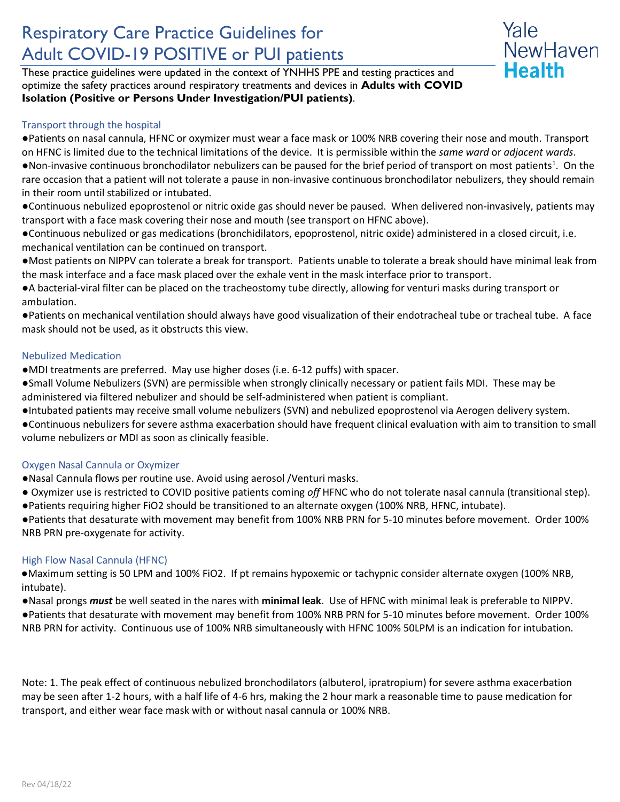# Respiratory Care Practice Guidelines for Adult COVID-19 POSITIVE or PUI patients

These practice guidelines were updated in the context of YNHHS PPE and testing practices and optimize the safety practices around respiratory treatments and devices in **Adults with COVID Isolation (Positive or Persons Under Investigation/PUI patients)**.

# Transport through the hospital

●Patients on nasal cannula, HFNC or oxymizer must wear a face mask or 100% NRB covering their nose and mouth. Transport on HFNC is limited due to the technical limitations of the device. It is permissible within the *same ward* or *adjacent wards*. .Non-invasive continuous bronchodilator nebulizers can be paused for the brief period of transport on most patients<sup>1</sup>. On the rare occasion that a patient will not tolerate a pause in non-invasive continuous bronchodilator nebulizers, they should remain in their room until stabilized or intubated.

Yale

NewHaven

**Health** 

●Continuous nebulized epoprostenol or nitric oxide gas should never be paused. When delivered non-invasively, patients may transport with a face mask covering their nose and mouth (see transport on HFNC above).

●Continuous nebulized or gas medications (bronchidilators, epoprostenol, nitric oxide) administered in a closed circuit, i.e. mechanical ventilation can be continued on transport.

●Most patients on NIPPV can tolerate a break for transport. Patients unable to tolerate a break should have minimal leak from the mask interface and a face mask placed over the exhale vent in the mask interface prior to transport.

●A bacterial-viral filter can be placed on the tracheostomy tube directly, allowing for venturi masks during transport or ambulation.

●Patients on mechanical ventilation should always have good visualization of their endotracheal tube or tracheal tube. A face mask should not be used, as it obstructs this view.

# Nebulized Medication

●MDI treatments are preferred. May use higher doses (i.e. 6-12 puffs) with spacer.

●Small Volume Nebulizers (SVN) are permissible when strongly clinically necessary or patient fails MDI. These may be administered via filtered nebulizer and should be self-administered when patient is compliant.

●Intubated patients may receive small volume nebulizers (SVN) and nebulized epoprostenol via Aerogen delivery system.

●Continuous nebulizers for severe asthma exacerbation should have frequent clinical evaluation with aim to transition to small volume nebulizers or MDI as soon as clinically feasible.

# Oxygen Nasal Cannula or Oxymizer

●Nasal Cannula flows per routine use. Avoid using aerosol /Venturi masks.

- Oxymizer use is restricted to COVID positive patients coming *off* HFNC who do not tolerate nasal cannula (transitional step).
- ●Patients requiring higher FiO2 should be transitioned to an alternate oxygen (100% NRB, HFNC, intubate).

●Patients that desaturate with movement may benefit from 100% NRB PRN for 5-10 minutes before movement. Order 100% NRB PRN pre-oxygenate for activity.

# High Flow Nasal Cannula (HFNC)

●Maximum setting is 50 LPM and 100% FiO2. If pt remains hypoxemic or tachypnic consider alternate oxygen (100% NRB, intubate).

●Nasal prongs *must* be well seated in the nares with **minimal leak**. Use of HFNC with minimal leak is preferable to NIPPV.

●Patients that desaturate with movement may benefit from 100% NRB PRN for 5-10 minutes before movement. Order 100% NRB PRN for activity. Continuous use of 100% NRB simultaneously with HFNC 100% 50LPM is an indication for intubation.

Note: 1. The peak effect of continuous nebulized bronchodilators (albuterol, ipratropium) for severe asthma exacerbation may be seen after 1-2 hours, with a half life of 4-6 hrs, making the 2 hour mark a reasonable time to pause medication for transport, and either wear face mask with or without nasal cannula or 100% NRB.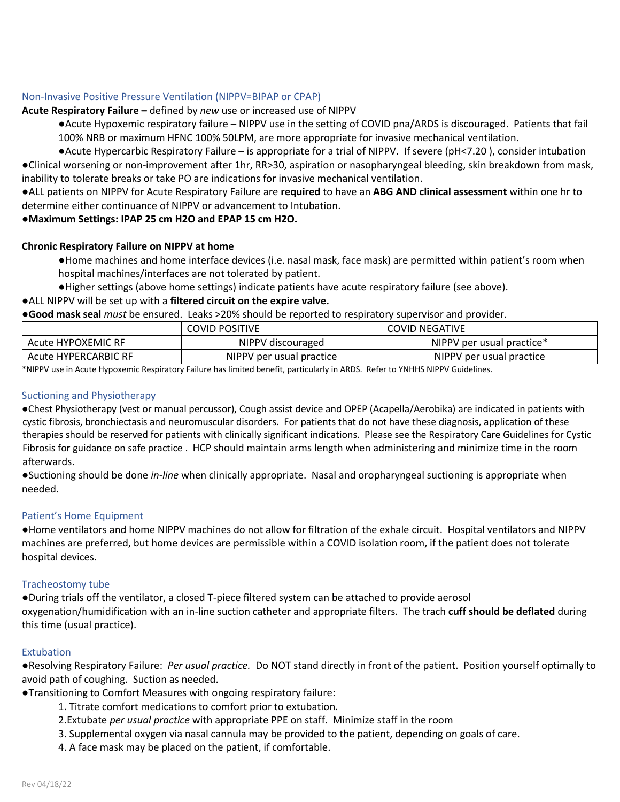# Non-Invasive Positive Pressure Ventilation (NIPPV=BIPAP or CPAP)

**Acute Respiratory Failure –** defined by *new* use or increased use of NIPPV

●Acute Hypoxemic respiratory failure – NIPPV use in the setting of COVID pna/ARDS is discouraged. Patients that fail 100% NRB or maximum HFNC 100% 50LPM, are more appropriate for invasive mechanical ventilation.

●Acute Hypercarbic Respiratory Failure – is appropriate for a trial of NIPPV. If severe (pH<7.20 ), consider intubation ●Clinical worsening or non-improvement after 1hr, RR>30, aspiration or nasopharyngeal bleeding, skin breakdown from mask, inability to tolerate breaks or take PO are indications for invasive mechanical ventilation.

●ALL patients on NIPPV for Acute Respiratory Failure are **required** to have an **ABG AND clinical assessment** within one hr to determine either continuance of NIPPV or advancement to Intubation.

## ●**Maximum Settings: IPAP 25 cm H2O and EPAP 15 cm H2O.**

## **Chronic Respiratory Failure on NIPPV at home**

●Home machines and home interface devices (i.e. nasal mask, face mask) are permitted within patient's room when hospital machines/interfaces are not tolerated by patient.

●Higher settings (above home settings) indicate patients have acute respiratory failure (see above).

## ●ALL NIPPV will be set up with a **filtered circuit on the expire valve.**

●**Good mask seal** *must* be ensured. Leaks >20% should be reported to respiratory supervisor and provider.

|                      | <b>COVID POSITIVE</b>    | <b>COVID NEGATIVE</b>     |
|----------------------|--------------------------|---------------------------|
| Acute HYPOXEMIC RF   | NIPPV discouraged        | NIPPV per usual practice* |
| Acute HYPERCARBIC RF | NIPPV per usual practice | NIPPV per usual practice  |

\*NIPPV use in Acute Hypoxemic Respiratory Failure has limited benefit, particularly in ARDS. Refer to YNHHS NIPPV Guidelines.

### Suctioning and Physiotherapy

●Chest Physiotherapy (vest or manual percussor), Cough assist device and OPEP (Acapella/Aerobika) are indicated in patients with cystic fibrosis, bronchiectasis and neuromuscular disorders. For patients that do not have these diagnosis, application of these therapies should be reserved for patients with clinically significant indications. Please see the Respiratory Care Guidelines for Cystic Fibrosis for guidance on safe practice . HCP should maintain arms length when administering and minimize time in the room afterwards.

●Suctioning should be done *in-line* when clinically appropriate. Nasal and oropharyngeal suctioning is appropriate when needed.

#### Patient's Home Equipment

●Home ventilators and home NIPPV machines do not allow for filtration of the exhale circuit. Hospital ventilators and NIPPV machines are preferred, but home devices are permissible within a COVID isolation room, if the patient does not tolerate hospital devices.

#### Tracheostomy tube

●During trials off the ventilator, a closed T-piece filtered system can be attached to provide aerosol oxygenation/humidification with an in-line suction catheter and appropriate filters. The trach **cuff should be deflated** during this time (usual practice).

#### Extubation

●Resolving Respiratory Failure: *Per usual practice.* Do NOT stand directly in front of the patient. Position yourself optimally to avoid path of coughing. Suction as needed.

●Transitioning to Comfort Measures with ongoing respiratory failure:

- 1. Titrate comfort medications to comfort prior to extubation.
- 2.Extubate *per usual practice* with appropriate PPE on staff. Minimize staff in the room
- 3. Supplemental oxygen via nasal cannula may be provided to the patient, depending on goals of care.
- 4. A face mask may be placed on the patient, if comfortable.